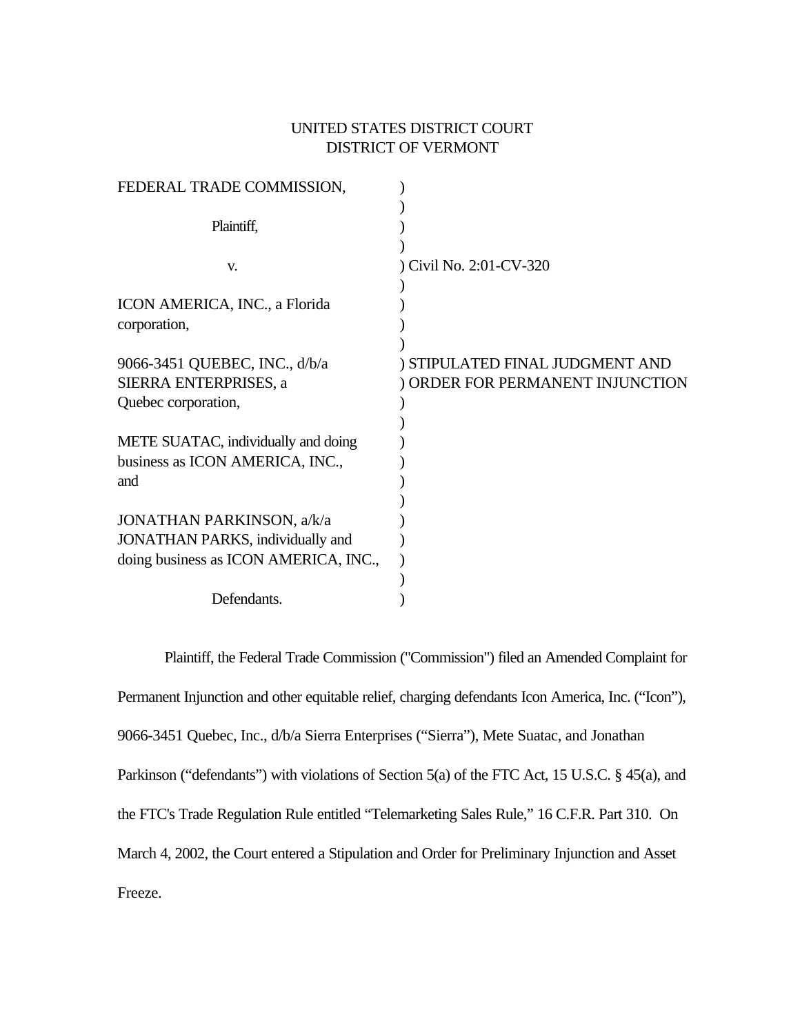# UNITED STATES DISTRICT COURT DISTRICT OF VERMONT

| FEDERAL TRADE COMMISSION,                |                                 |
|------------------------------------------|---------------------------------|
| Plaintiff,                               |                                 |
|                                          |                                 |
| V.                                       | ) Civil No. 2:01-CV-320         |
| ICON AMERICA, INC., a Florida            |                                 |
| corporation,                             |                                 |
|                                          |                                 |
| 9066-3451 QUEBEC, INC., d/b/a            | ) STIPULATED FINAL JUDGMENT AND |
| SIERRA ENTERPRISES, a                    | ORDER FOR PERMANENT INJUNCTION  |
| Quebec corporation,                      |                                 |
|                                          |                                 |
| METE SUATAC, individually and doing      |                                 |
| business as ICON AMERICA, INC.,          |                                 |
| and                                      |                                 |
|                                          |                                 |
| <b>JONATHAN PARKINSON, a/k/a</b>         |                                 |
| <b>JONATHAN PARKS</b> , individually and |                                 |
| doing business as ICON AMERICA, INC.,    |                                 |
|                                          |                                 |
| Defendants.                              |                                 |

Plaintiff, the Federal Trade Commission ("Commission") filed an Amended Complaint for Permanent Injunction and other equitable relief, charging defendants Icon America, Inc. ("Icon"), 9066-3451 Quebec, Inc., d/b/a Sierra Enterprises ("Sierra"), Mete Suatac, and Jonathan Parkinson ("defendants") with violations of Section 5(a) of the FTC Act, 15 U.S.C. § 45(a), and the FTC's Trade Regulation Rule entitled "Telemarketing Sales Rule," 16 C.F.R. Part 310. On March 4, 2002, the Court entered a Stipulation and Order for Preliminary Injunction and Asset Freeze.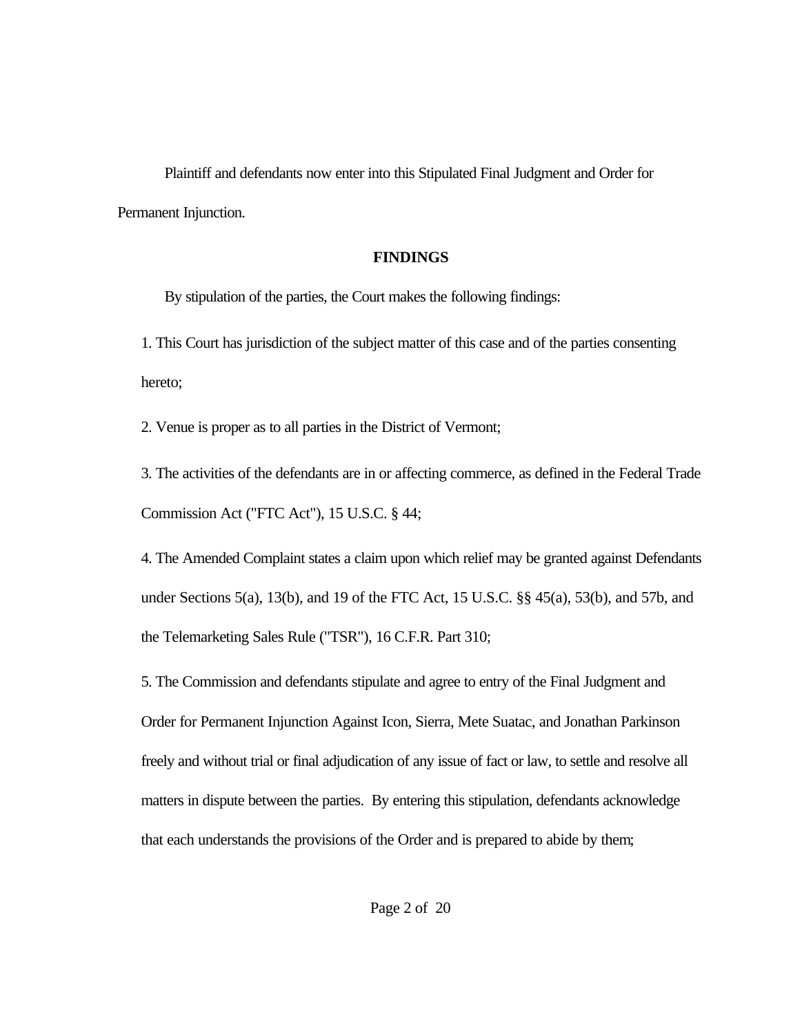Plaintiff and defendants now enter into this Stipulated Final Judgment and Order for Permanent Injunction.

#### **FINDINGS**

By stipulation of the parties, the Court makes the following findings:

1. This Court has jurisdiction of the subject matter of this case and of the parties consenting hereto;

2. Venue is proper as to all parties in the District of Vermont;

3. The activities of the defendants are in or affecting commerce, as defined in the Federal Trade Commission Act ("FTC Act"), 15 U.S.C. § 44;

4. The Amended Complaint states a claim upon which relief may be granted against Defendants under Sections 5(a), 13(b), and 19 of the FTC Act, 15 U.S.C. §§ 45(a), 53(b), and 57b, and the Telemarketing Sales Rule ("TSR"), 16 C.F.R. Part 310;

5. The Commission and defendants stipulate and agree to entry of the Final Judgment and Order for Permanent Injunction Against Icon, Sierra, Mete Suatac, and Jonathan Parkinson freely and without trial or final adjudication of any issue of fact or law, to settle and resolve all matters in dispute between the parties. By entering this stipulation, defendants acknowledge that each understands the provisions of the Order and is prepared to abide by them;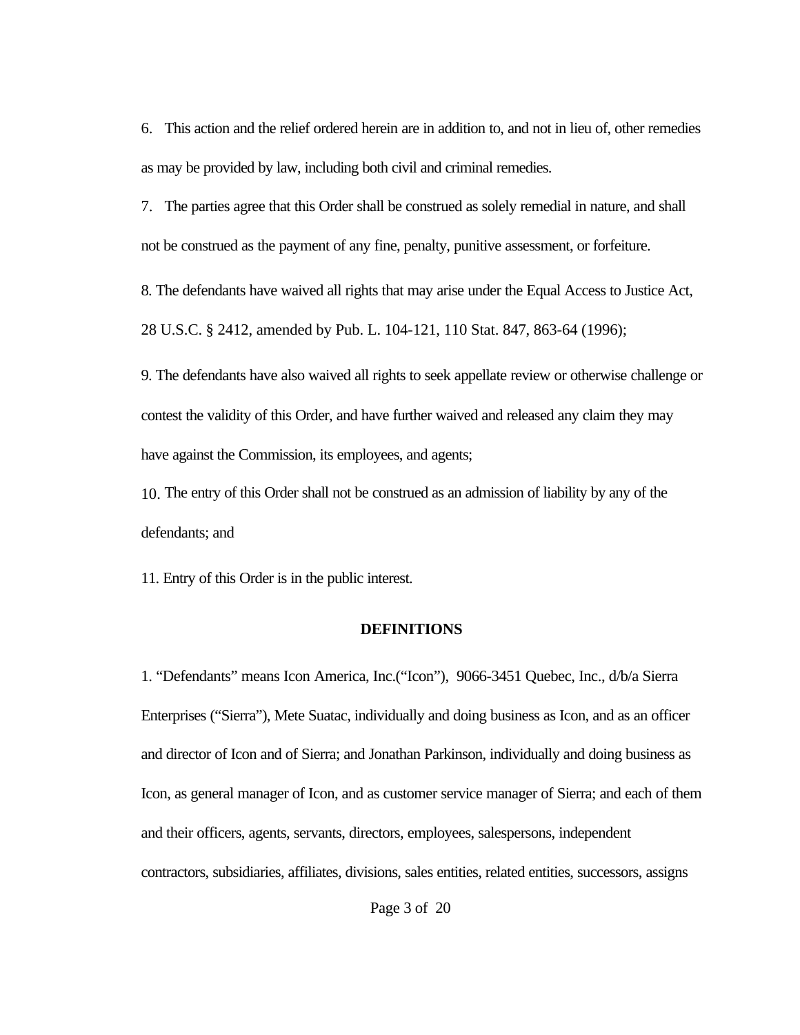6. This action and the relief ordered herein are in addition to, and not in lieu of, other remedies as may be provided by law, including both civil and criminal remedies.

7. The parties agree that this Order shall be construed as solely remedial in nature, and shall not be construed as the payment of any fine, penalty, punitive assessment, or forfeiture.

8. The defendants have waived all rights that may arise under the Equal Access to Justice Act, 28 U.S.C. § 2412, amended by Pub. L. 104-121, 110 Stat. 847, 863-64 (1996);

9. The defendants have also waived all rights to seek appellate review or otherwise challenge or contest the validity of this Order, and have further waived and released any claim they may have against the Commission, its employees, and agents;

10. The entry of this Order shall not be construed as an admission of liability by any of the defendants; and

11. Entry of this Order is in the public interest.

## **DEFINITIONS**

1. "Defendants" means Icon America, Inc.("Icon"), 9066-3451 Quebec, Inc., d/b/a Sierra Enterprises ("Sierra"), Mete Suatac, individually and doing business as Icon, and as an officer and director of Icon and of Sierra; and Jonathan Parkinson, individually and doing business as Icon, as general manager of Icon, and as customer service manager of Sierra; and each of them and their officers, agents, servants, directors, employees, salespersons, independent contractors, subsidiaries, affiliates, divisions, sales entities, related entities, successors, assigns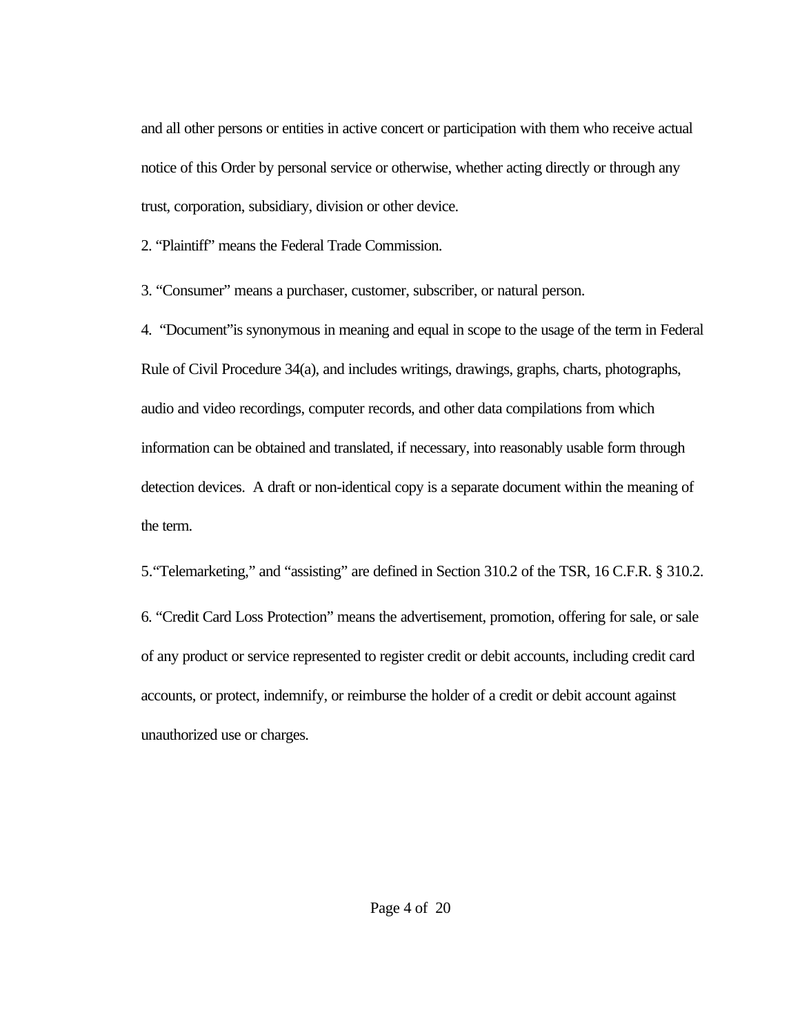and all other persons or entities in active concert or participation with them who receive actual notice of this Order by personal service or otherwise, whether acting directly or through any trust, corporation, subsidiary, division or other device.

2. "Plaintiff" means the Federal Trade Commission.

3. "Consumer" means a purchaser, customer, subscriber, or natural person.

4. "Document"is synonymous in meaning and equal in scope to the usage of the term in Federal Rule of Civil Procedure 34(a), and includes writings, drawings, graphs, charts, photographs, audio and video recordings, computer records, and other data compilations from which information can be obtained and translated, if necessary, into reasonably usable form through detection devices. A draft or non-identical copy is a separate document within the meaning of the term.

5."Telemarketing," and "assisting" are defined in Section 310.2 of the TSR, 16 C.F.R. § 310.2. 6. "Credit Card Loss Protection" means the advertisement, promotion, offering for sale, or sale of any product or service represented to register credit or debit accounts, including credit card accounts, or protect, indemnify, or reimburse the holder of a credit or debit account against unauthorized use or charges.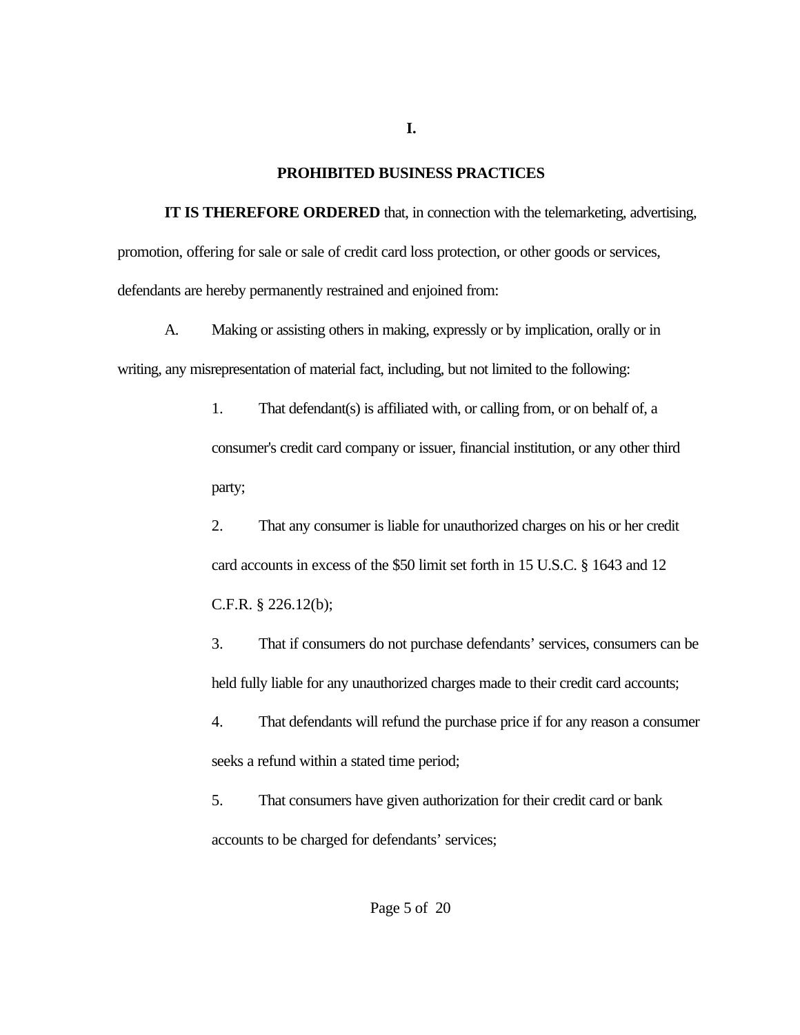## **PROHIBITED BUSINESS PRACTICES**

**I.**

**IT IS THEREFORE ORDERED** that, in connection with the telemarketing, advertising, promotion, offering for sale or sale of credit card loss protection, or other goods or services, defendants are hereby permanently restrained and enjoined from:

A. Making or assisting others in making, expressly or by implication, orally or in writing, any misrepresentation of material fact, including, but not limited to the following:

> 1. That defendant(s) is affiliated with, or calling from, or on behalf of, a consumer's credit card company or issuer, financial institution, or any other third party;

> 2. That any consumer is liable for unauthorized charges on his or her credit card accounts in excess of the \$50 limit set forth in 15 U.S.C. § 1643 and 12 C.F.R. § 226.12(b);

3. That if consumers do not purchase defendants' services, consumers can be held fully liable for any unauthorized charges made to their credit card accounts;

4. That defendants will refund the purchase price if for any reason a consumer seeks a refund within a stated time period;

5. That consumers have given authorization for their credit card or bank accounts to be charged for defendants' services;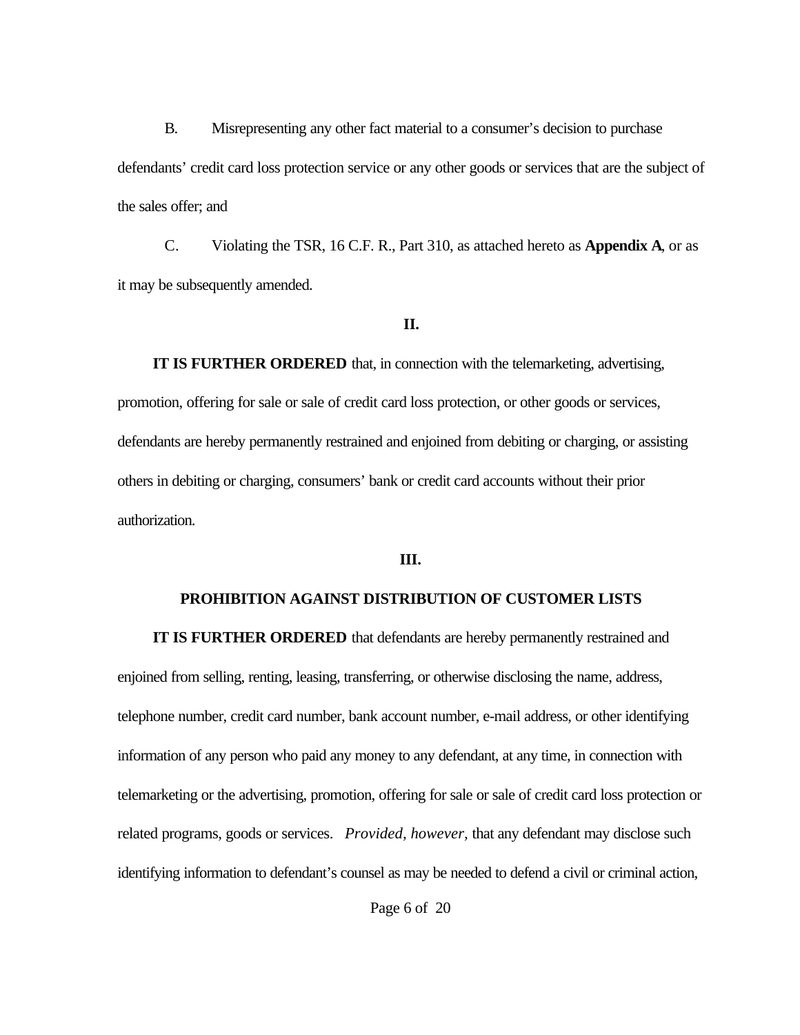B. Misrepresenting any other fact material to a consumer's decision to purchase defendants' credit card loss protection service or any other goods or services that are the subject of the sales offer; and

C. Violating the TSR, 16 C.F. R., Part 310, as attached hereto as **Appendix A**, or as it may be subsequently amended.

#### **II.**

 **IT IS FURTHER ORDERED** that, in connection with the telemarketing, advertising, promotion, offering for sale or sale of credit card loss protection, or other goods or services, defendants are hereby permanently restrained and enjoined from debiting or charging, or assisting others in debiting or charging, consumers' bank or credit card accounts without their prior authorization.

#### **III.**

## **PROHIBITION AGAINST DISTRIBUTION OF CUSTOMER LISTS**

**IT IS FURTHER ORDERED** that defendants are hereby permanently restrained and enjoined from selling, renting, leasing, transferring, or otherwise disclosing the name, address, telephone number, credit card number, bank account number, e-mail address, or other identifying information of any person who paid any money to any defendant, at any time, in connection with telemarketing or the advertising, promotion, offering for sale or sale of credit card loss protection or related programs, goods or services. *Provided, however,* that any defendant may disclose such identifying information to defendant's counsel as may be needed to defend a civil or criminal action,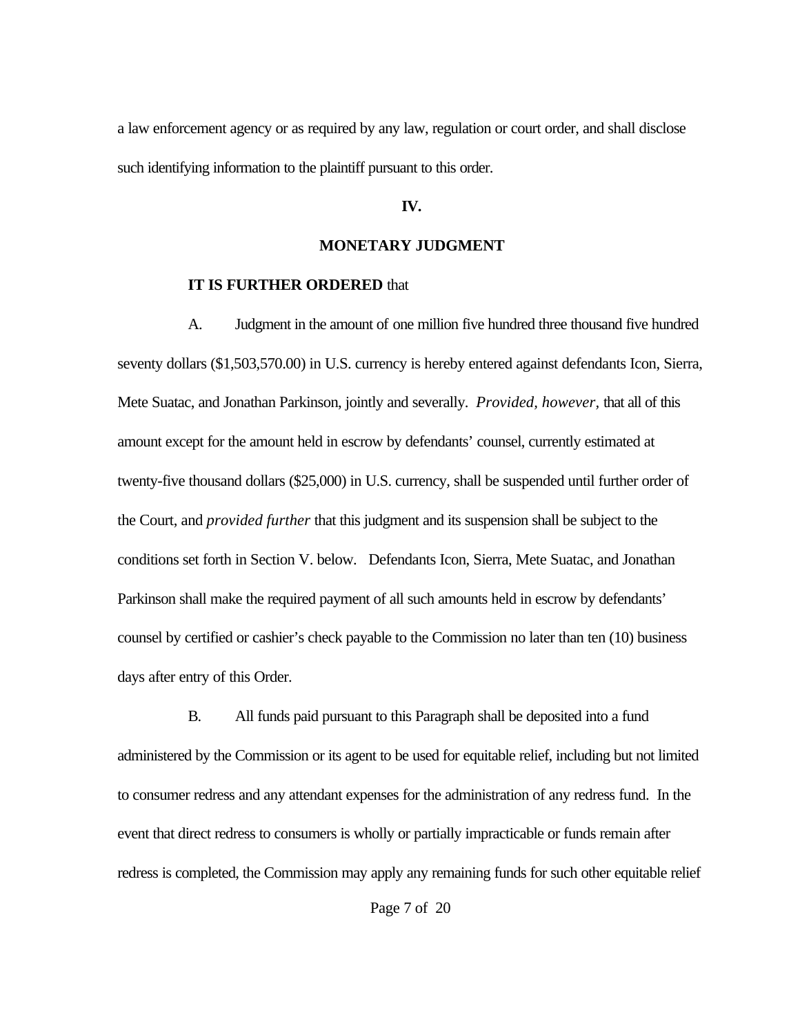a law enforcement agency or as required by any law, regulation or court order, and shall disclose such identifying information to the plaintiff pursuant to this order.

#### **IV.**

#### **MONETARY JUDGMENT**

#### **IT IS FURTHER ORDERED** that

A. Judgment in the amount of one million five hundred three thousand five hundred seventy dollars (\$1,503,570.00) in U.S. currency is hereby entered against defendants Icon, Sierra, Mete Suatac, and Jonathan Parkinson, jointly and severally. *Provided, however,* that all of this amount except for the amount held in escrow by defendants' counsel, currently estimated at twenty-five thousand dollars (\$25,000) in U.S. currency, shall be suspended until further order of the Court, and *provided further* that this judgment and its suspension shall be subject to the conditions set forth in Section V. below. Defendants Icon, Sierra, Mete Suatac, and Jonathan Parkinson shall make the required payment of all such amounts held in escrow by defendants' counsel by certified or cashier's check payable to the Commission no later than ten (10) business days after entry of this Order.

B. All funds paid pursuant to this Paragraph shall be deposited into a fund administered by the Commission or its agent to be used for equitable relief, including but not limited to consumer redress and any attendant expenses for the administration of any redress fund. In the event that direct redress to consumers is wholly or partially impracticable or funds remain after redress is completed, the Commission may apply any remaining funds for such other equitable relief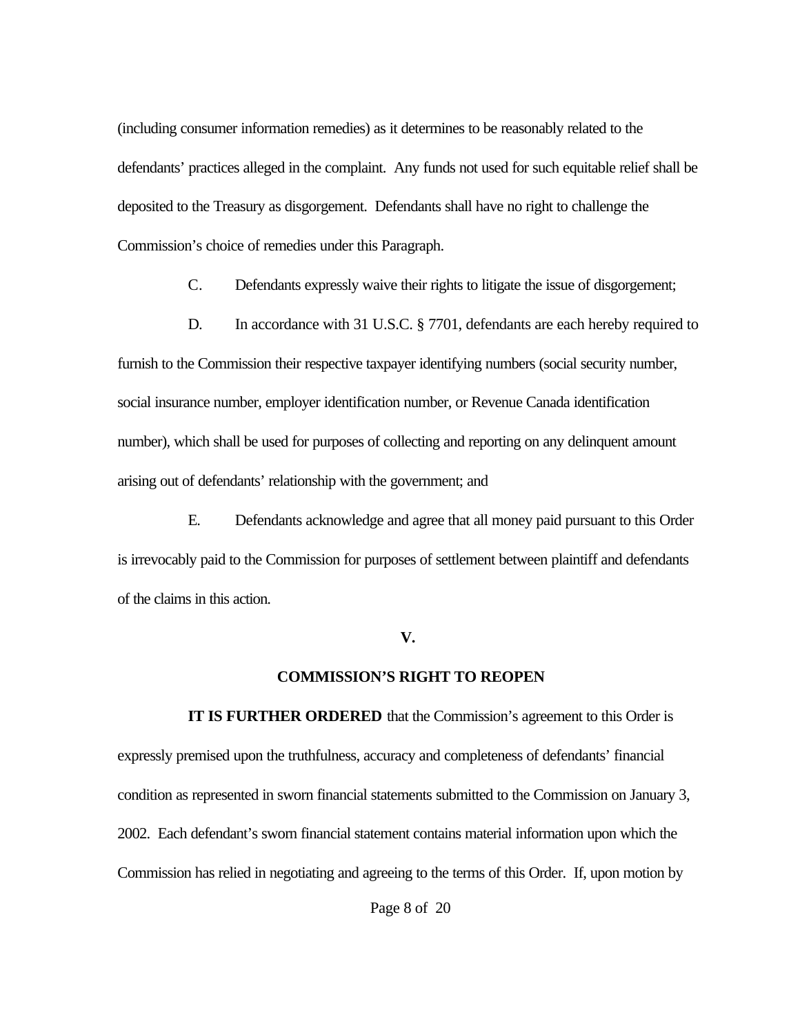(including consumer information remedies) as it determines to be reasonably related to the defendants' practices alleged in the complaint. Any funds not used for such equitable relief shall be deposited to the Treasury as disgorgement. Defendants shall have no right to challenge the Commission's choice of remedies under this Paragraph.

- C. Defendants expressly waive their rights to litigate the issue of disgorgement;
- D. In accordance with 31 U.S.C. § 7701, defendants are each hereby required to

furnish to the Commission their respective taxpayer identifying numbers (social security number, social insurance number, employer identification number, or Revenue Canada identification number), which shall be used for purposes of collecting and reporting on any delinquent amount arising out of defendants' relationship with the government; and

E. Defendants acknowledge and agree that all money paid pursuant to this Order is irrevocably paid to the Commission for purposes of settlement between plaintiff and defendants of the claims in this action.

#### **V.**

#### **COMMISSION'S RIGHT TO REOPEN**

**IT IS FURTHER ORDERED** that the Commission's agreement to this Order is expressly premised upon the truthfulness, accuracy and completeness of defendants' financial condition as represented in sworn financial statements submitted to the Commission on January 3, 2002. Each defendant's sworn financial statement contains material information upon which the Commission has relied in negotiating and agreeing to the terms of this Order. If, upon motion by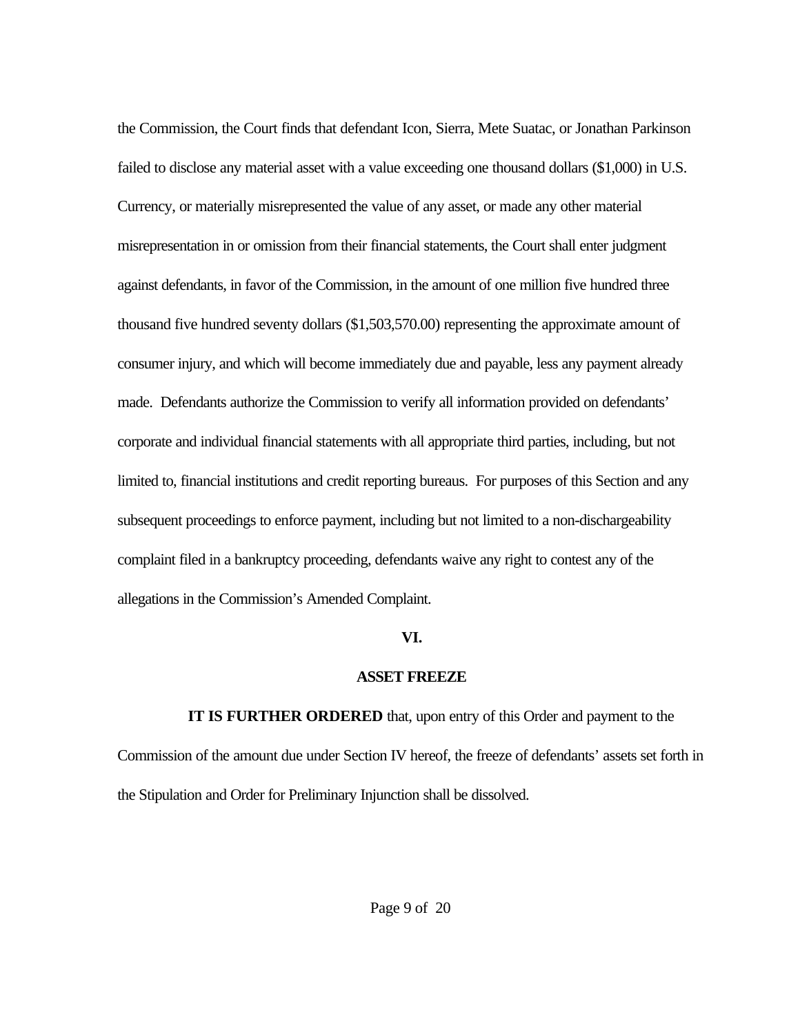the Commission, the Court finds that defendant Icon, Sierra, Mete Suatac, or Jonathan Parkinson failed to disclose any material asset with a value exceeding one thousand dollars (\$1,000) in U.S. Currency, or materially misrepresented the value of any asset, or made any other material misrepresentation in or omission from their financial statements, the Court shall enter judgment against defendants, in favor of the Commission, in the amount of one million five hundred three thousand five hundred seventy dollars (\$1,503,570.00) representing the approximate amount of consumer injury, and which will become immediately due and payable, less any payment already made. Defendants authorize the Commission to verify all information provided on defendants' corporate and individual financial statements with all appropriate third parties, including, but not limited to, financial institutions and credit reporting bureaus. For purposes of this Section and any subsequent proceedings to enforce payment, including but not limited to a non-dischargeability complaint filed in a bankruptcy proceeding, defendants waive any right to contest any of the allegations in the Commission's Amended Complaint.

#### **VI.**

## **ASSET FREEZE**

**IT IS FURTHER ORDERED** that, upon entry of this Order and payment to the Commission of the amount due under Section IV hereof, the freeze of defendants' assets set forth in the Stipulation and Order for Preliminary Injunction shall be dissolved.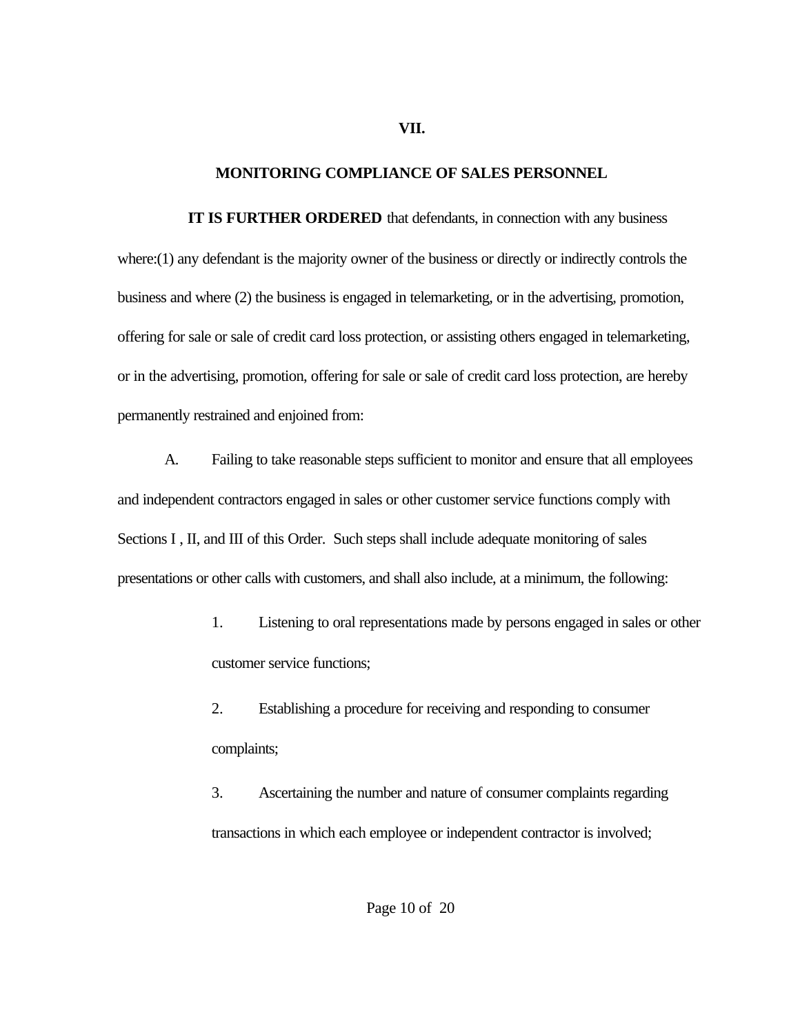#### **VII.**

## **MONITORING COMPLIANCE OF SALES PERSONNEL**

**IT IS FURTHER ORDERED** that defendants, in connection with any business where:(1) any defendant is the majority owner of the business or directly or indirectly controls the business and where (2) the business is engaged in telemarketing, or in the advertising, promotion, offering for sale or sale of credit card loss protection, or assisting others engaged in telemarketing, or in the advertising, promotion, offering for sale or sale of credit card loss protection, are hereby permanently restrained and enjoined from:

A. Failing to take reasonable steps sufficient to monitor and ensure that all employees and independent contractors engaged in sales or other customer service functions comply with Sections I, II, and III of this Order. Such steps shall include adequate monitoring of sales presentations or other calls with customers, and shall also include, at a minimum, the following:

> 1. Listening to oral representations made by persons engaged in sales or other customer service functions;

2. Establishing a procedure for receiving and responding to consumer complaints;

3. Ascertaining the number and nature of consumer complaints regarding transactions in which each employee or independent contractor is involved;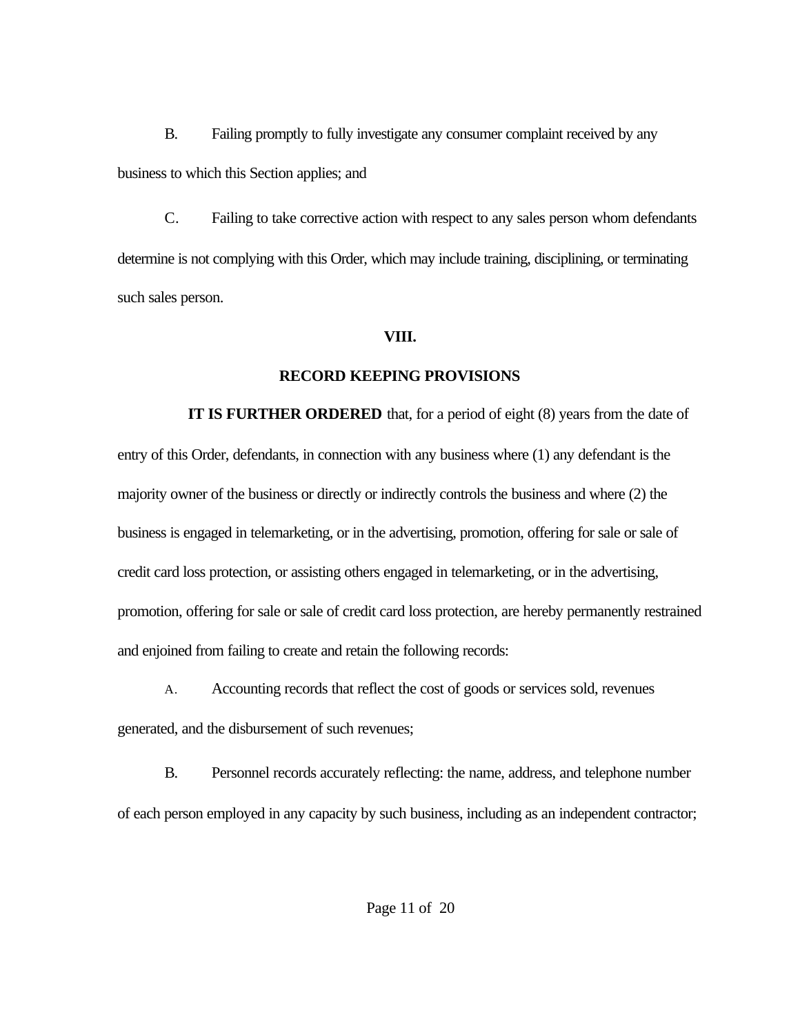B. Failing promptly to fully investigate any consumer complaint received by any business to which this Section applies; and

C. Failing to take corrective action with respect to any sales person whom defendants determine is not complying with this Order, which may include training, disciplining, or terminating such sales person.

## **VIII.**

# **RECORD KEEPING PROVISIONS**

**IT IS FURTHER ORDERED** that, for a period of eight (8) years from the date of entry of this Order, defendants, in connection with any business where (1) any defendant is the majority owner of the business or directly or indirectly controls the business and where (2) the business is engaged in telemarketing, or in the advertising, promotion, offering for sale or sale of credit card loss protection, or assisting others engaged in telemarketing, or in the advertising, promotion, offering for sale or sale of credit card loss protection, are hereby permanently restrained and enjoined from failing to create and retain the following records:

A. Accounting records that reflect the cost of goods or services sold, revenues generated, and the disbursement of such revenues;

B. Personnel records accurately reflecting: the name, address, and telephone number of each person employed in any capacity by such business, including as an independent contractor;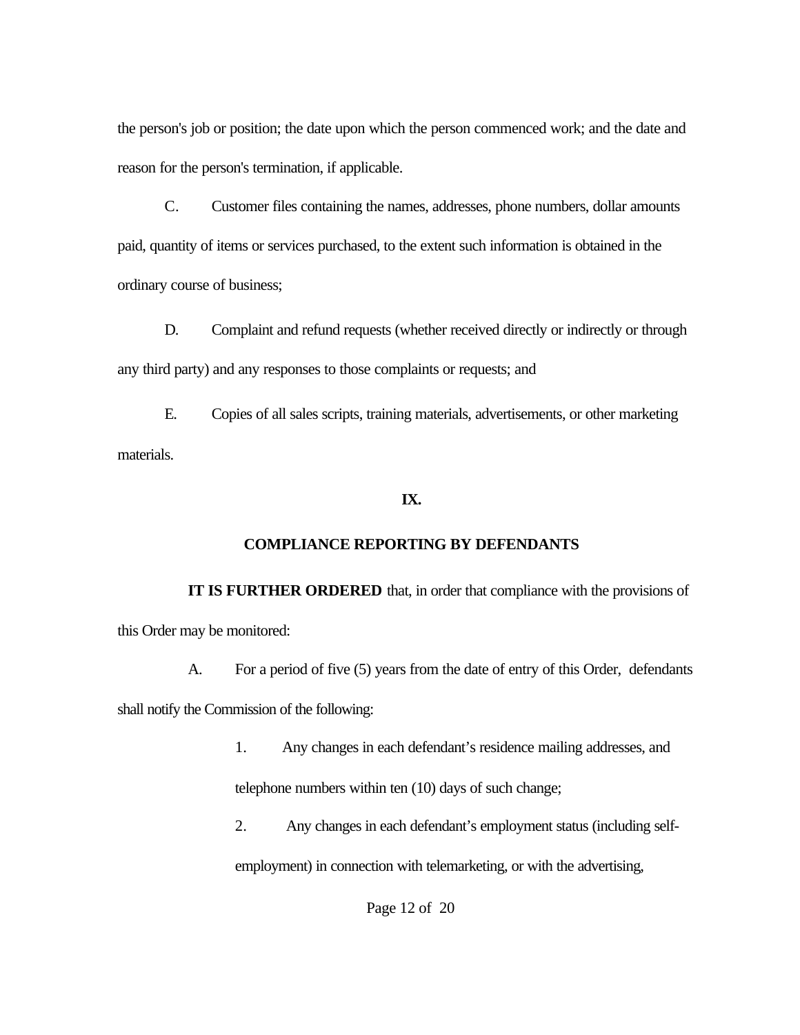the person's job or position; the date upon which the person commenced work; and the date and reason for the person's termination, if applicable.

C. Customer files containing the names, addresses, phone numbers, dollar amounts paid, quantity of items or services purchased, to the extent such information is obtained in the ordinary course of business;

D. Complaint and refund requests (whether received directly or indirectly or through any third party) and any responses to those complaints or requests; and

E. Copies of all sales scripts, training materials, advertisements, or other marketing materials.

# **IX.**

# **COMPLIANCE REPORTING BY DEFENDANTS**

**IT IS FURTHER ORDERED** that, in order that compliance with the provisions of this Order may be monitored:

A. For a period of five (5) years from the date of entry of this Order, defendants shall notify the Commission of the following:

> 1. Any changes in each defendant's residence mailing addresses, and telephone numbers within ten (10) days of such change;

2. Any changes in each defendant's employment status (including self-

employment) in connection with telemarketing, or with the advertising,

Page 12 of 20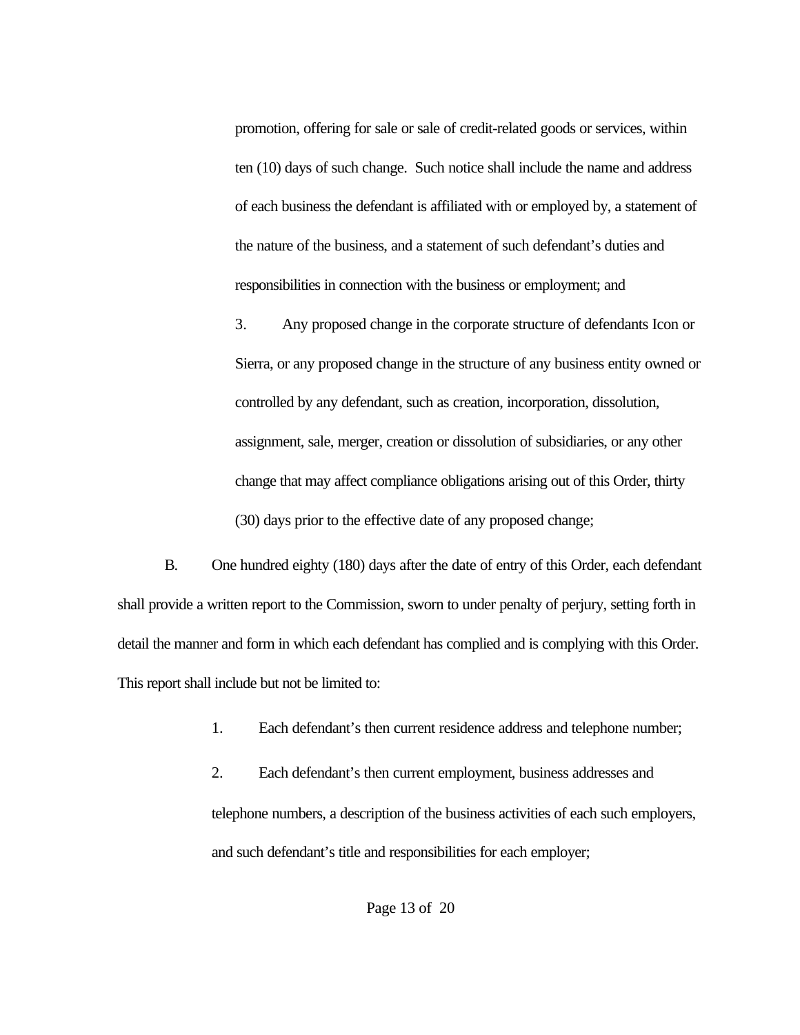promotion, offering for sale or sale of credit-related goods or services, within ten (10) days of such change. Such notice shall include the name and address of each business the defendant is affiliated with or employed by, a statement of the nature of the business, and a statement of such defendant's duties and responsibilities in connection with the business or employment; and

3. Any proposed change in the corporate structure of defendants Icon or Sierra, or any proposed change in the structure of any business entity owned or controlled by any defendant, such as creation, incorporation, dissolution, assignment, sale, merger, creation or dissolution of subsidiaries, or any other change that may affect compliance obligations arising out of this Order, thirty (30) days prior to the effective date of any proposed change;

B. One hundred eighty (180) days after the date of entry of this Order, each defendant shall provide a written report to the Commission, sworn to under penalty of perjury, setting forth in detail the manner and form in which each defendant has complied and is complying with this Order. This report shall include but not be limited to:

1. Each defendant's then current residence address and telephone number;

2. Each defendant's then current employment, business addresses and telephone numbers, a description of the business activities of each such employers, and such defendant's title and responsibilities for each employer;

Page 13 of 20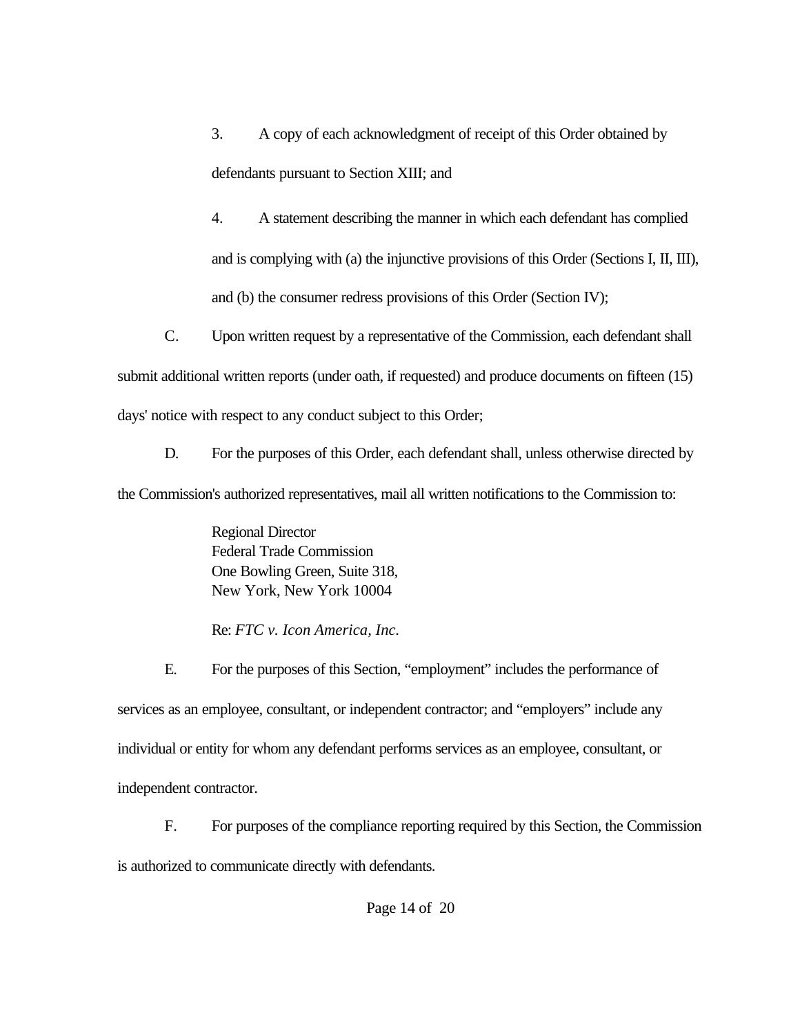3. A copy of each acknowledgment of receipt of this Order obtained by defendants pursuant to Section XIII; and

4. A statement describing the manner in which each defendant has complied and is complying with (a) the injunctive provisions of this Order (Sections I, II, III), and (b) the consumer redress provisions of this Order (Section IV);

C. Upon written request by a representative of the Commission, each defendant shall submit additional written reports (under oath, if requested) and produce documents on fifteen (15) days' notice with respect to any conduct subject to this Order;

D. For the purposes of this Order, each defendant shall, unless otherwise directed by the Commission's authorized representatives, mail all written notifications to the Commission to:

> Regional Director Federal Trade Commission One Bowling Green, Suite 318, New York, New York 10004

> Re: *FTC v. Icon America, Inc.*

E. For the purposes of this Section, "employment" includes the performance of services as an employee, consultant, or independent contractor; and "employers" include any individual or entity for whom any defendant performs services as an employee, consultant, or independent contractor.

F. For purposes of the compliance reporting required by this Section, the Commission is authorized to communicate directly with defendants.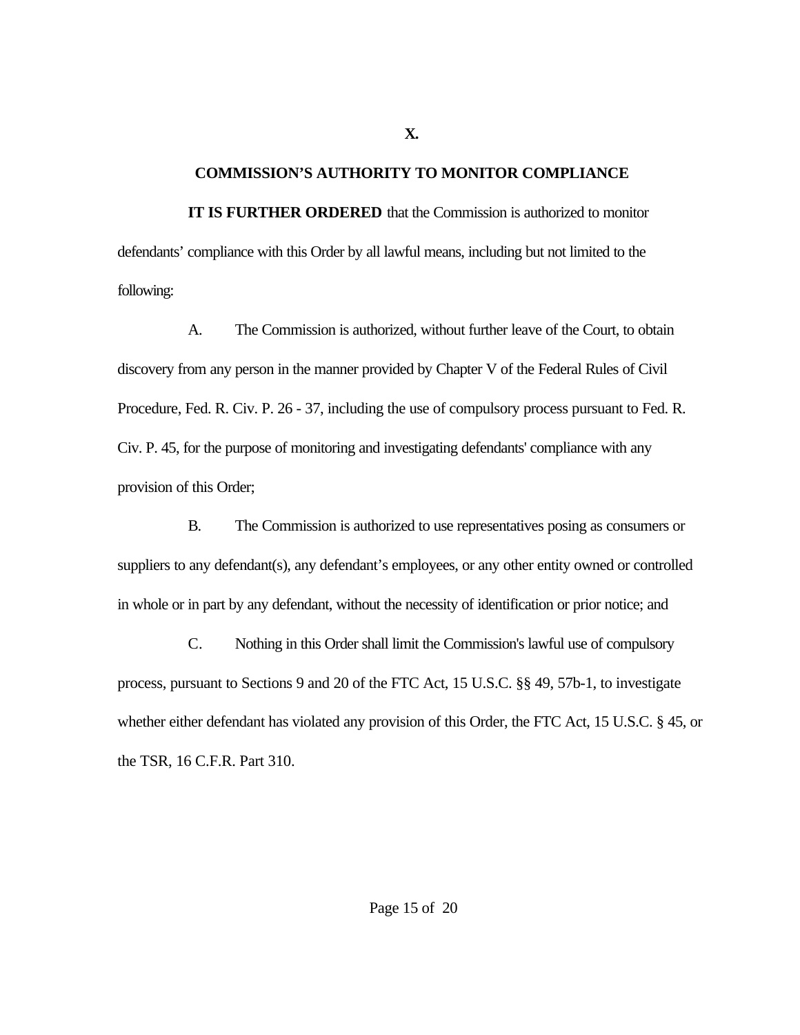## **COMMISSION'S AUTHORITY TO MONITOR COMPLIANCE**

**IT IS FURTHER ORDERED** that the Commission is authorized to monitor defendants' compliance with this Order by all lawful means, including but not limited to the following:

A. The Commission is authorized, without further leave of the Court, to obtain discovery from any person in the manner provided by Chapter V of the Federal Rules of Civil Procedure, Fed. R. Civ. P. 26 - 37, including the use of compulsory process pursuant to Fed. R. Civ. P. 45, for the purpose of monitoring and investigating defendants' compliance with any provision of this Order;

B. The Commission is authorized to use representatives posing as consumers or suppliers to any defendant(s), any defendant's employees, or any other entity owned or controlled in whole or in part by any defendant, without the necessity of identification or prior notice; and

C. Nothing in this Order shall limit the Commission's lawful use of compulsory process, pursuant to Sections 9 and 20 of the FTC Act, 15 U.S.C. §§ 49, 57b-1, to investigate whether either defendant has violated any provision of this Order, the FTC Act, 15 U.S.C. § 45, or the TSR, 16 C.F.R. Part 310.

**X.**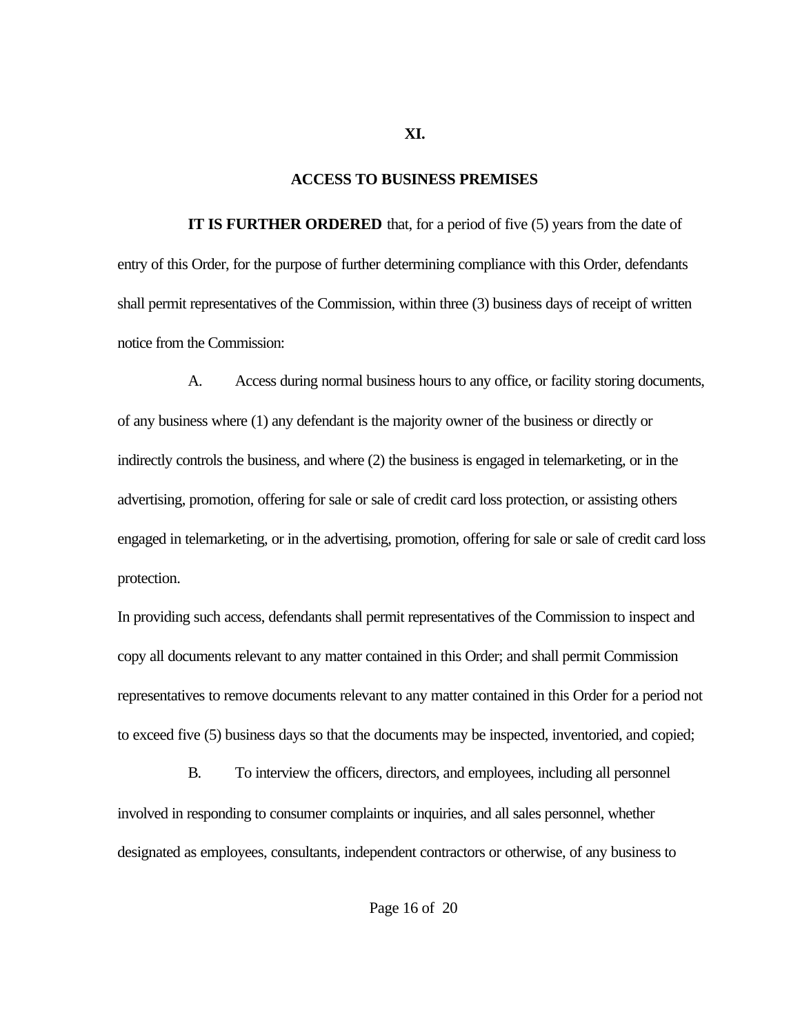#### **ACCESS TO BUSINESS PREMISES**

**IT IS FURTHER ORDERED** that, for a period of five (5) years from the date of entry of this Order, for the purpose of further determining compliance with this Order, defendants shall permit representatives of the Commission, within three (3) business days of receipt of written notice from the Commission:

A. Access during normal business hours to any office, or facility storing documents, of any business where (1) any defendant is the majority owner of the business or directly or indirectly controls the business, and where (2) the business is engaged in telemarketing, or in the advertising, promotion, offering for sale or sale of credit card loss protection, or assisting others engaged in telemarketing, or in the advertising, promotion, offering for sale or sale of credit card loss protection.

In providing such access, defendants shall permit representatives of the Commission to inspect and copy all documents relevant to any matter contained in this Order; and shall permit Commission representatives to remove documents relevant to any matter contained in this Order for a period not to exceed five (5) business days so that the documents may be inspected, inventoried, and copied;

B. To interview the officers, directors, and employees, including all personnel involved in responding to consumer complaints or inquiries, and all sales personnel, whether designated as employees, consultants, independent contractors or otherwise, of any business to

**XI.**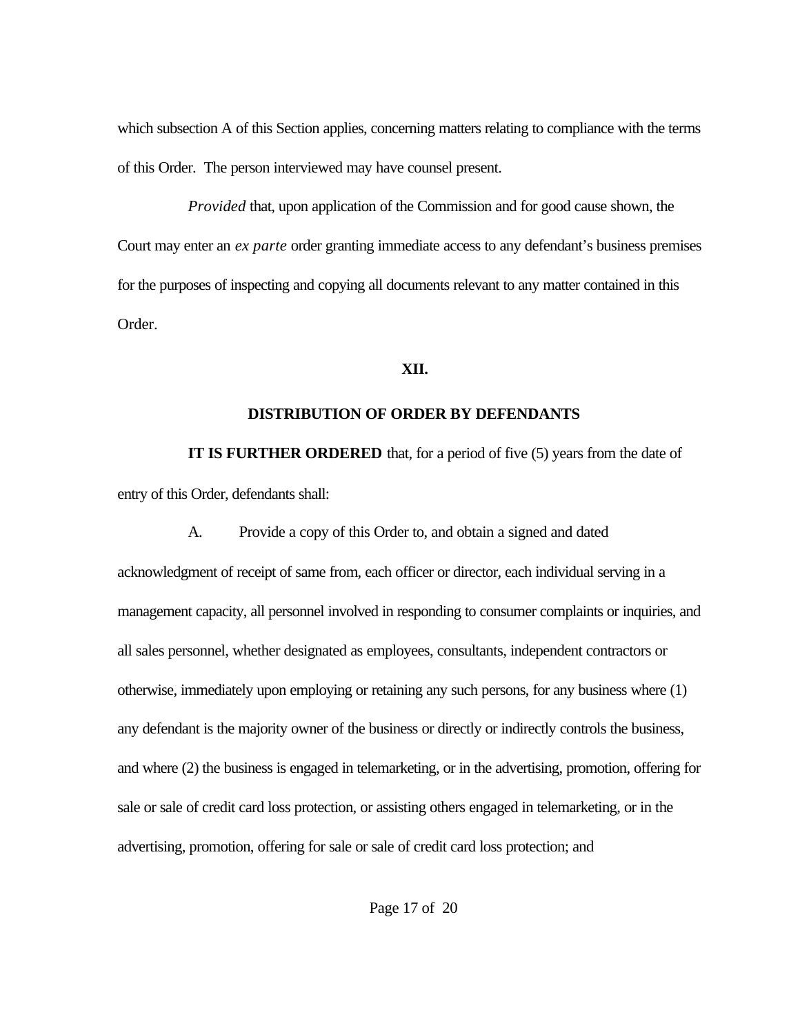which subsection A of this Section applies, concerning matters relating to compliance with the terms of this Order. The person interviewed may have counsel present.

*Provided* that, upon application of the Commission and for good cause shown, the Court may enter an *ex parte* order granting immediate access to any defendant's business premises for the purposes of inspecting and copying all documents relevant to any matter contained in this Order.

## **XII.**

# **DISTRIBUTION OF ORDER BY DEFENDANTS**

**IT IS FURTHER ORDERED** that, for a period of five (5) years from the date of entry of this Order, defendants shall:

A. Provide a copy of this Order to, and obtain a signed and dated acknowledgment of receipt of same from, each officer or director, each individual serving in a management capacity, all personnel involved in responding to consumer complaints or inquiries, and all sales personnel, whether designated as employees, consultants, independent contractors or otherwise, immediately upon employing or retaining any such persons, for any business where (1) any defendant is the majority owner of the business or directly or indirectly controls the business, and where (2) the business is engaged in telemarketing, or in the advertising, promotion, offering for sale or sale of credit card loss protection, or assisting others engaged in telemarketing, or in the advertising, promotion, offering for sale or sale of credit card loss protection; and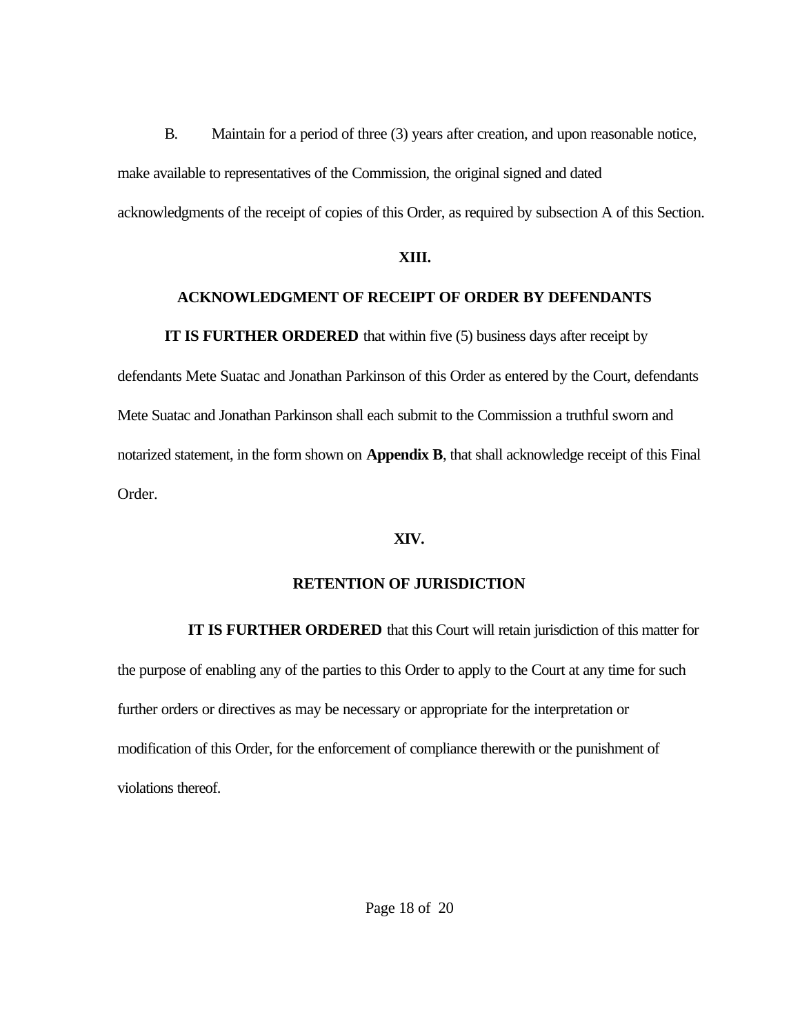B. Maintain for a period of three (3) years after creation, and upon reasonable notice, make available to representatives of the Commission, the original signed and dated acknowledgments of the receipt of copies of this Order, as required by subsection A of this Section.

## **XIII.**

# **ACKNOWLEDGMENT OF RECEIPT OF ORDER BY DEFENDANTS**

**IT IS FURTHER ORDERED** that within five (5) business days after receipt by

defendants Mete Suatac and Jonathan Parkinson of this Order as entered by the Court, defendants Mete Suatac and Jonathan Parkinson shall each submit to the Commission a truthful sworn and notarized statement, in the form shown on **Appendix B**, that shall acknowledge receipt of this Final Order.

# **XIV.**

# **RETENTION OF JURISDICTION**

**IT IS FURTHER ORDERED** that this Court will retain jurisdiction of this matter for the purpose of enabling any of the parties to this Order to apply to the Court at any time for such further orders or directives as may be necessary or appropriate for the interpretation or modification of this Order, for the enforcement of compliance therewith or the punishment of violations thereof.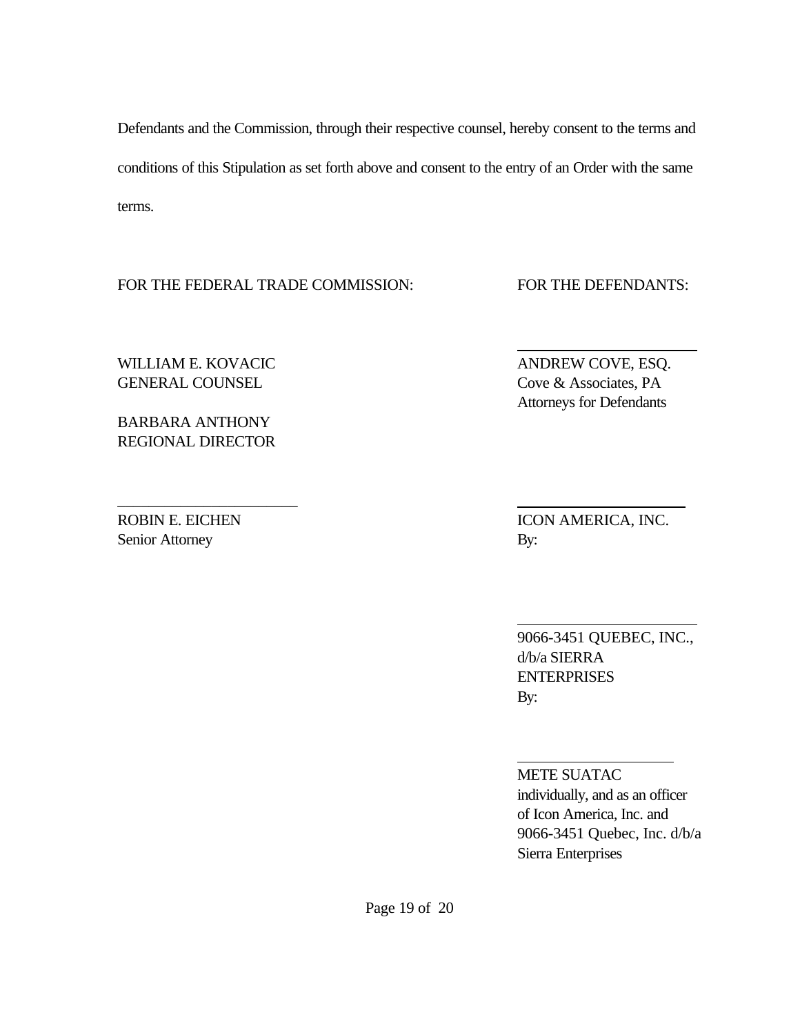Defendants and the Commission, through their respective counsel, hereby consent to the terms and conditions of this Stipulation as set forth above and consent to the entry of an Order with the same terms.

FOR THE FEDERAL TRADE COMMISSION: FOR THE DEFENDANTS:

\_\_\_\_\_\_\_\_\_\_\_\_\_\_\_\_\_\_\_\_\_\_\_

WILLIAM E. KOVACIC ANDREW COVE, ESQ. GENERAL COUNSEL COUNSEL Cove & Associates, PA

BARBARA ANTHONY REGIONAL DIRECTOR

Senior Attorney By:

ROBIN E. EICHEN ICON AMERICA, INC.

9066-3451 QUEBEC, INC., d/b/a SIERRA **ENTERPRISES** By:

METE SUATAC individually, and as an officer of Icon America, Inc. and 9066-3451 Quebec, Inc. d/b/a Sierra Enterprises

Attorneys for Defendants

 $\overline{a}$ 

 $\overline{a}$ 

 $\overline{a}$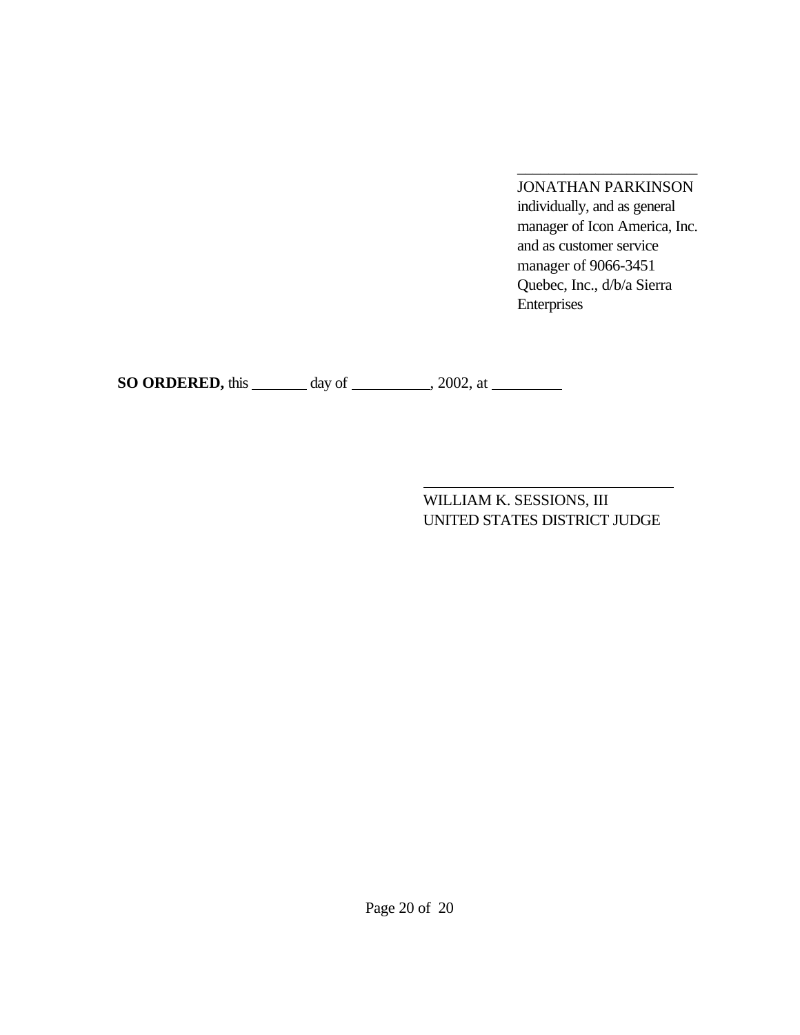JONATHAN PARKINSON individually, and as general manager of Icon America, Inc. and as customer service manager of 9066-3451 Quebec, Inc., d/b/a Sierra Enterprises

\_\_\_\_\_\_\_\_\_\_\_\_\_\_\_\_\_\_\_\_\_\_\_

**SO ORDERED,** this \_\_\_\_\_\_\_ day of \_\_\_\_\_\_\_\_, 2002, at \_\_\_\_\_\_\_

WILLIAM K. SESSIONS, III UNITED STATES DISTRICT JUDGE

Page 20 of 20

 $\overline{a}$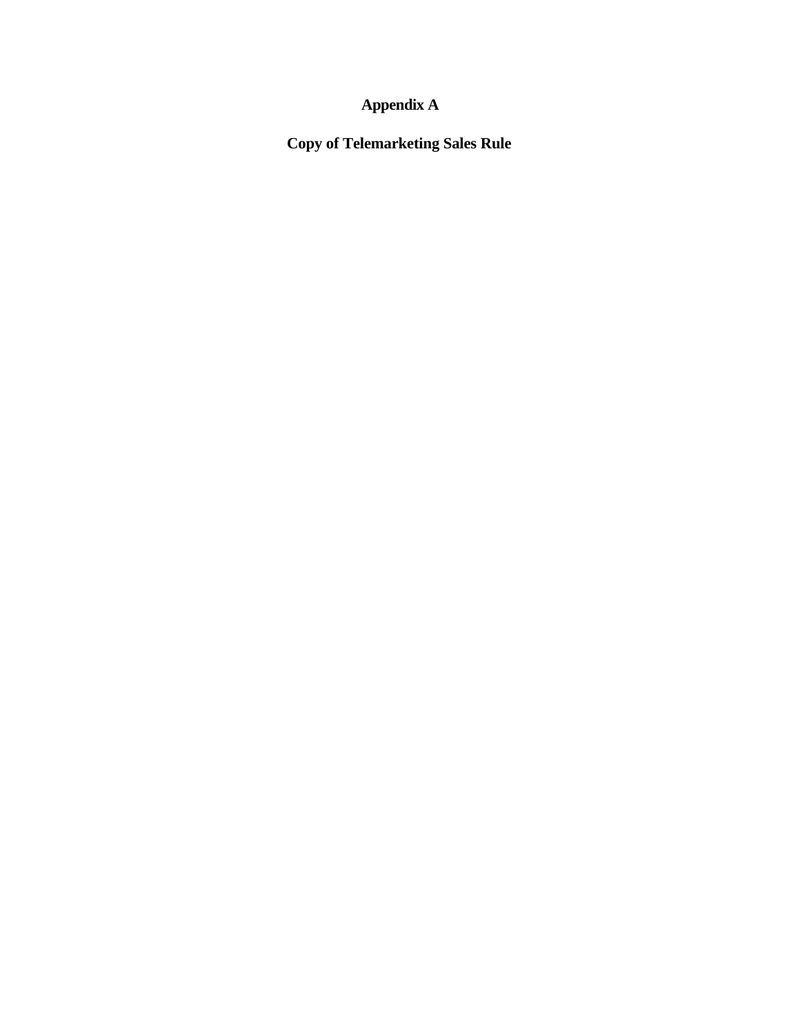# **Appendix A**

**Copy of Telemarketing Sales Rule**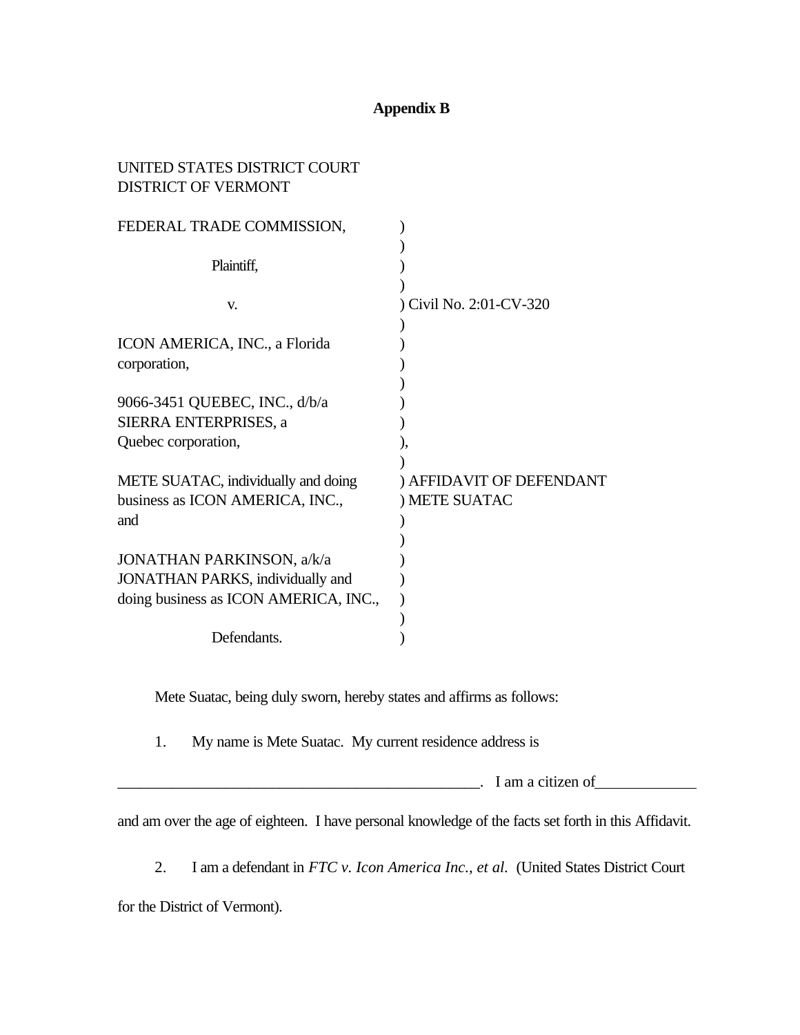# **Appendix B**

# UNITED STATES DISTRICT COURT DISTRICT OF VERMONT

| FEDERAL TRADE COMMISSION,               |                          |
|-----------------------------------------|--------------------------|
|                                         |                          |
| Plaintiff,                              |                          |
|                                         |                          |
| V.                                      | ) Civil No. 2:01-CV-320  |
|                                         |                          |
| ICON AMERICA, INC., a Florida           |                          |
| corporation,                            |                          |
|                                         |                          |
| 9066-3451 QUEBEC, INC., d/b/a           |                          |
| SIERRA ENTERPRISES, a                   |                          |
| Quebec corporation,                     |                          |
|                                         |                          |
| METE SUATAC, individually and doing     | ) AFFIDAVIT OF DEFENDANT |
| business as ICON AMERICA, INC.,         | ) METE SUATAC            |
| and                                     |                          |
|                                         |                          |
| <b>JONATHAN PARKINSON, a/k/a</b>        |                          |
| <b>JONATHAN PARKS, individually and</b> |                          |
| doing business as ICON AMERICA, INC.,   |                          |
|                                         |                          |
| Defendants.                             |                          |

Mete Suatac, being duly sworn, hereby states and affirms as follows:

1. My name is Mete Suatac. My current residence address is

 $\blacksquare$   $\blacksquare$   $\blacksquare$   $\blacksquare$   $\blacksquare$   $\blacksquare$   $\blacksquare$   $\blacksquare$   $\blacksquare$   $\blacksquare$   $\blacksquare$ 

and am over the age of eighteen. I have personal knowledge of the facts set forth in this Affidavit.

2. I am a defendant in *FTC v. Icon America Inc., et al.* (United States District Court

for the District of Vermont).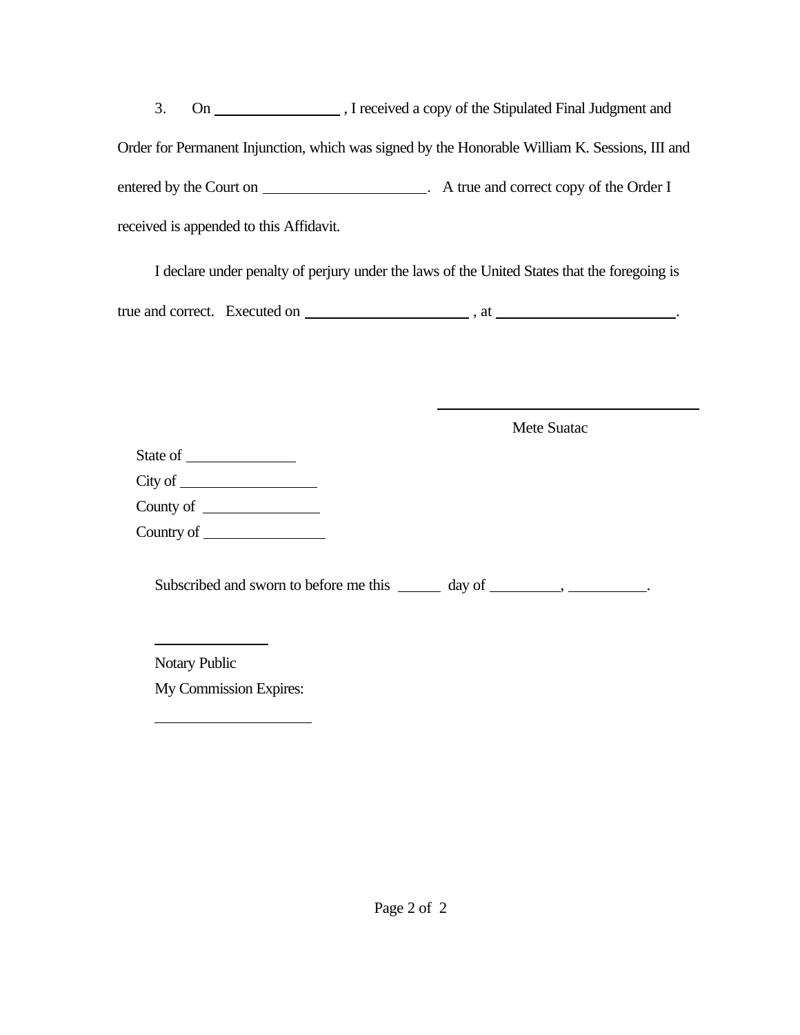3. On , I received a copy of the Stipulated Final Judgment and Order for Permanent Injunction, which was signed by the Honorable William K. Sessions, III and entered by the Court on . A true and correct copy of the Order I received is appended to this Affidavit.

I declare under penalty of perjury under the laws of the United States that the foregoing is true and correct. Executed on  $\qquad \qquad$ , at  $\qquad \qquad$ 

 $\overline{a}$ 

Mete Suatac

| State of                         |  |
|----------------------------------|--|
| City of $\overline{\phantom{a}}$ |  |
| County of                        |  |
| Country of                       |  |

Subscribed and sworn to before me this  $\_\_\_\_$  day of  $\_\_\_\_\_\_\_\_\_\_\_\_\_\_\_\_$ 

Notary Public

 $\overline{a}$ 

 $\overline{a}$ 

My Commission Expires: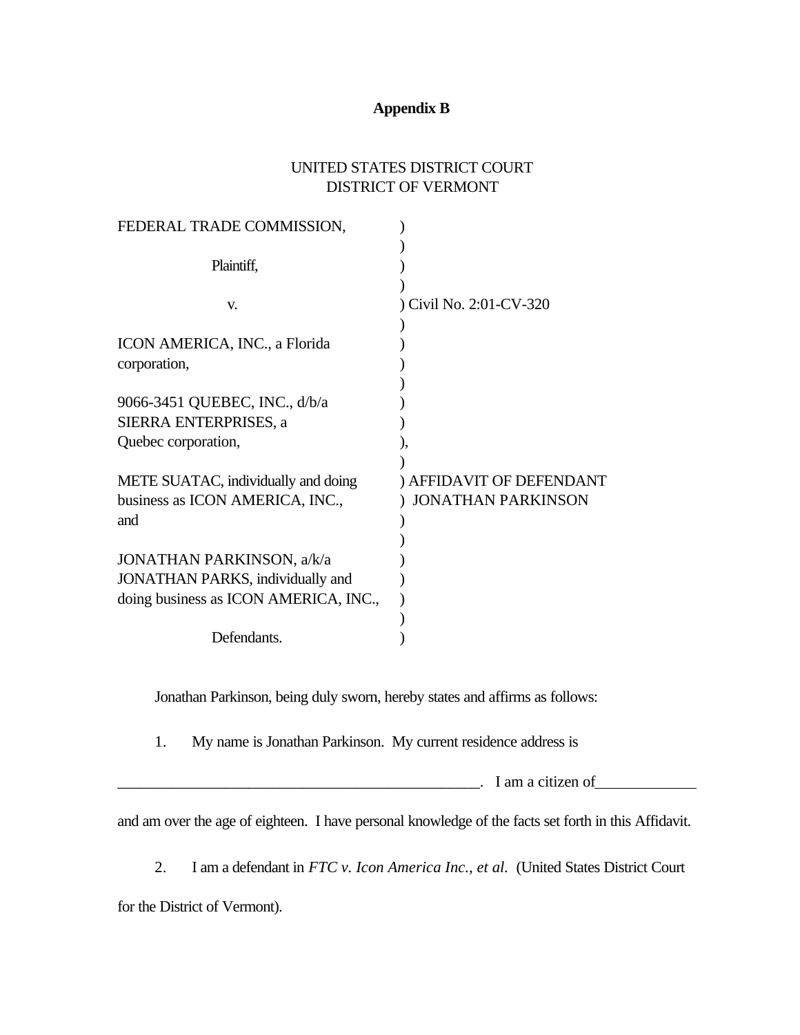# **Appendix B**

# UNITED STATES DISTRICT COURT DISTRICT OF VERMONT

Jonathan Parkinson, being duly sworn, hereby states and affirms as follows:

1. My name is Jonathan Parkinson. My current residence address is

 $\blacksquare$   $\blacksquare$   $\blacksquare$   $\blacksquare$   $\blacksquare$   $\blacksquare$   $\blacksquare$   $\blacksquare$   $\blacksquare$   $\blacksquare$ 

and am over the age of eighteen. I have personal knowledge of the facts set forth in this Affidavit.

2. I am a defendant in *FTC v. Icon America Inc., et al.* (United States District Court

for the District of Vermont).